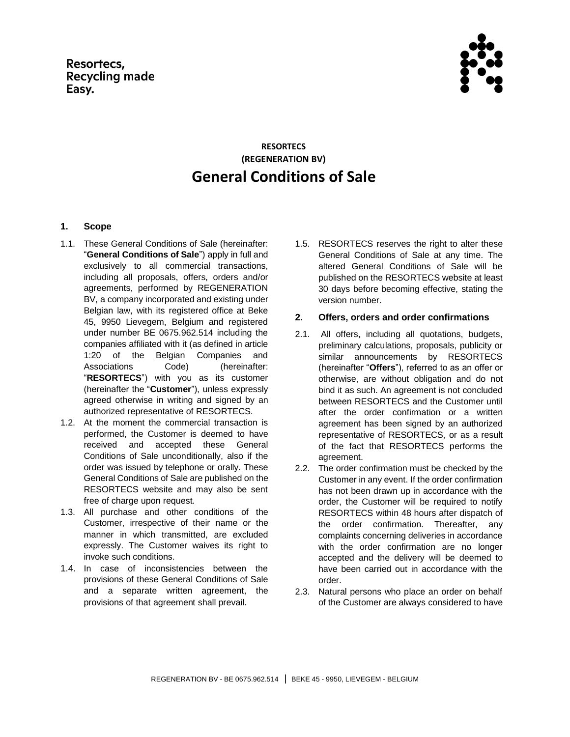

# **RESORTECS (REGENERATION BV) General Conditions of Sale**

# **1. Scope**

- 1.1. These General Conditions of Sale (hereinafter: "**General Conditions of Sale**") apply in full and exclusively to all commercial transactions, including all proposals, offers, orders and/or agreements, performed by REGENERATION BV, a company incorporated and existing under Belgian law, with its registered office at Beke 45, 9950 Lievegem, Belgium and registered under number BE 0675.962.514 including the companies affiliated with it (as defined in article 1:20 of the Belgian Companies and Associations Code) (hereinafter: "**RESORTECS**") with you as its customer (hereinafter the "**Customer**"), unless expressly agreed otherwise in writing and signed by an authorized representative of RESORTECS.
- 1.2. At the moment the commercial transaction is performed, the Customer is deemed to have received and accepted these General Conditions of Sale unconditionally, also if the order was issued by telephone or orally. These General Conditions of Sale are published on the RESORTECS website and may also be sent free of charge upon request.
- 1.3. All purchase and other conditions of the Customer, irrespective of their name or the manner in which transmitted, are excluded expressly. The Customer waives its right to invoke such conditions.
- 1.4. In case of inconsistencies between the provisions of these General Conditions of Sale and a separate written agreement, the provisions of that agreement shall prevail.

1.5. RESORTECS reserves the right to alter these General Conditions of Sale at any time. The altered General Conditions of Sale will be published on the RESORTECS website at least 30 days before becoming effective, stating the version number.

# **2. Offers, orders and order confirmations**

- 2.1. All offers, including all quotations, budgets, preliminary calculations, proposals, publicity or similar announcements by RESORTECS (hereinafter "**Offers**"), referred to as an offer or otherwise, are without obligation and do not bind it as such. An agreement is not concluded between RESORTECS and the Customer until after the order confirmation or a written agreement has been signed by an authorized representative of RESORTECS, or as a result of the fact that RESORTECS performs the agreement.
- 2.2. The order confirmation must be checked by the Customer in any event. If the order confirmation has not been drawn up in accordance with the order, the Customer will be required to notify RESORTECS within 48 hours after dispatch of the order confirmation. Thereafter, any complaints concerning deliveries in accordance with the order confirmation are no longer accepted and the delivery will be deemed to have been carried out in accordance with the order.
- 2.3. Natural persons who place an order on behalf of the Customer are always considered to have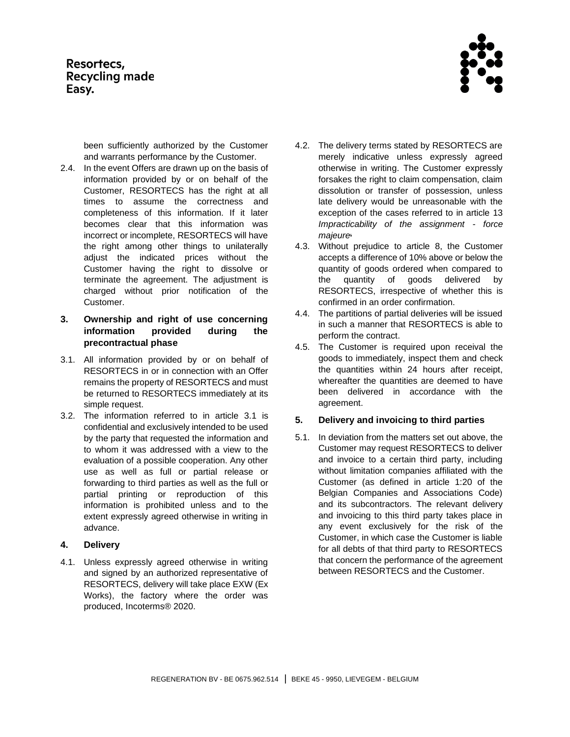

been sufficiently authorized by the Customer and warrants performance by the Customer.

- 2.4. In the event Offers are drawn up on the basis of information provided by or on behalf of the Customer, RESORTECS has the right at all times to assume the correctness and completeness of this information. If it later becomes clear that this information was incorrect or incomplete, RESORTECS will have the right among other things to unilaterally adjust the indicated prices without the Customer having the right to dissolve or terminate the agreement. The adjustment is charged without prior notification of the Customer.
- **3. Ownership and right of use concerning information provided during the precontractual phase**
- <span id="page-1-0"></span>3.1. All information provided by or on behalf of RESORTECS in or in connection with an Offer remains the property of RESORTECS and must be returned to RESORTECS immediately at its simple request.
- 3.2. The information referred to in article [3.1](#page-1-0) is confidential and exclusively intended to be used by the party that requested the information and to whom it was addressed with a view to the evaluation of a possible cooperation. Any other use as well as full or partial release or forwarding to third parties as well as the full or partial printing or reproduction of this information is prohibited unless and to the extent expressly agreed otherwise in writing in advance.

## **4. Delivery**

4.1. Unless expressly agreed otherwise in writing and signed by an authorized representative of RESORTECS, delivery will take place EXW (Ex Works), the factory where the order was produced, Incoterms® 2020.

- 4.2. The delivery terms stated by RESORTECS are merely indicative unless expressly agreed otherwise in writing. The Customer expressly forsakes the right to claim compensation, claim dissolution or transfer of possession, unless late delivery would be unreasonable with the exception of the cases referred to in article [13](#page-5-0) *[Impracticability of the assignment -](#page-5-0) force [majeure](#page-5-0).*
- <span id="page-1-1"></span>4.3. Without prejudice to article [8,](#page-3-0) the Customer accepts a difference of 10% above or below the quantity of goods ordered when compared to the quantity of goods delivered by RESORTECS, irrespective of whether this is confirmed in an order confirmation.
- 4.4. The partitions of partial deliveries will be issued in such a manner that RESORTECS is able to perform the contract.
- 4.5. The Customer is required upon receival the goods to immediately, inspect them and check the quantities within 24 hours after receipt, whereafter the quantities are deemed to have been delivered in accordance with the agreement.

## **5. Delivery and invoicing to third parties**

5.1. In deviation from the matters set out above, the Customer may request RESORTECS to deliver and invoice to a certain third party, including without limitation companies affiliated with the Customer (as defined in article 1:20 of the Belgian Companies and Associations Code) and its subcontractors. The relevant delivery and invoicing to this third party takes place in any event exclusively for the risk of the Customer, in which case the Customer is liable for all debts of that third party to RESORTECS that concern the performance of the agreement between RESORTECS and the Customer.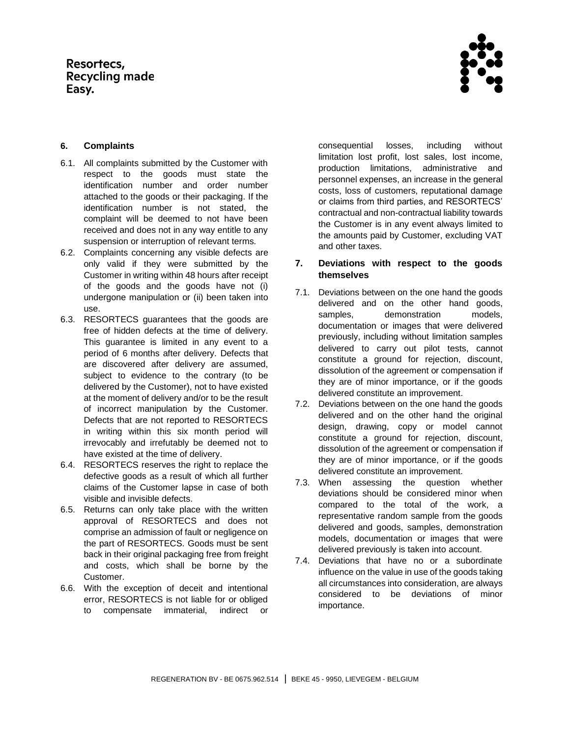

# **6. Complaints**

- 6.1. All complaints submitted by the Customer with respect to the goods must state the identification number and order number attached to the goods or their packaging. If the identification number is not stated, the complaint will be deemed to not have been received and does not in any way entitle to any suspension or interruption of relevant terms.
- 6.2. Complaints concerning any visible defects are only valid if they were submitted by the Customer in writing within 48 hours after receipt of the goods and the goods have not (i) undergone manipulation or (ii) been taken into use.
- 6.3. RESORTECS guarantees that the goods are free of hidden defects at the time of delivery. This guarantee is limited in any event to a period of 6 months after delivery. Defects that are discovered after delivery are assumed, subject to evidence to the contrary (to be delivered by the Customer), not to have existed at the moment of delivery and/or to be the result of incorrect manipulation by the Customer. Defects that are not reported to RESORTECS in writing within this six month period will irrevocably and irrefutably be deemed not to have existed at the time of delivery.
- 6.4. RESORTECS reserves the right to replace the defective goods as a result of which all further claims of the Customer lapse in case of both visible and invisible defects.
- 6.5. Returns can only take place with the written approval of RESORTECS and does not comprise an admission of fault or negligence on the part of RESORTECS. Goods must be sent back in their original packaging free from freight and costs, which shall be borne by the Customer.
- 6.6. With the exception of deceit and intentional error, RESORTECS is not liable for or obliged to compensate immaterial, indirect or

consequential losses, including without limitation lost profit, lost sales, lost income, production limitations, administrative and personnel expenses, an increase in the general costs, loss of customers, reputational damage or claims from third parties, and RESORTECS' contractual and non-contractual liability towards the Customer is in any event always limited to the amounts paid by Customer, excluding VAT and other taxes.

# **7. Deviations with respect to the goods themselves**

- 7.1. Deviations between on the one hand the goods delivered and on the other hand goods, samples, demonstration models, documentation or images that were delivered previously, including without limitation samples delivered to carry out pilot tests, cannot constitute a ground for rejection, discount, dissolution of the agreement or compensation if they are of minor importance, or if the goods delivered constitute an improvement.
- 7.2. Deviations between on the one hand the goods delivered and on the other hand the original design, drawing, copy or model cannot constitute a ground for rejection, discount, dissolution of the agreement or compensation if they are of minor importance, or if the goods delivered constitute an improvement.
- 7.3. When assessing the question whether deviations should be considered minor when compared to the total of the work, a representative random sample from the goods delivered and goods, samples, demonstration models, documentation or images that were delivered previously is taken into account.
- 7.4. Deviations that have no or a subordinate influence on the value in use of the goods taking all circumstances into consideration, are always considered to be deviations of minor importance.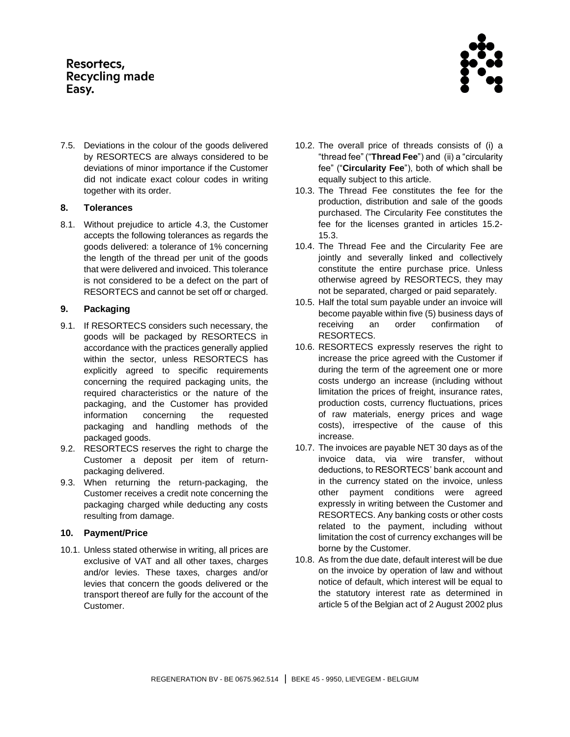7.5. Deviations in the colour of the goods delivered by RESORTECS are always considered to be deviations of minor importance if the Customer did not indicate exact colour codes in writing together with its order.

# <span id="page-3-0"></span>**8. Tolerances**

8.1. Without prejudice to article [4.3,](#page-1-1) the Customer accepts the following tolerances as regards the goods delivered: a tolerance of 1% concerning the length of the thread per unit of the goods that were delivered and invoiced. This tolerance is not considered to be a defect on the part of RESORTECS and cannot be set off or charged.

# **9. Packaging**

- 9.1. If RESORTECS considers such necessary, the goods will be packaged by RESORTECS in accordance with the practices generally applied within the sector, unless RESORTECS has explicitly agreed to specific requirements concerning the required packaging units, the required characteristics or the nature of the packaging, and the Customer has provided information concerning the requested packaging and handling methods of the packaged goods.
- 9.2. RESORTECS reserves the right to charge the Customer a deposit per item of returnpackaging delivered.
- 9.3. When returning the return-packaging, the Customer receives a credit note concerning the packaging charged while deducting any costs resulting from damage.

## **10. Payment/Price**

10.1. Unless stated otherwise in writing, all prices are exclusive of VAT and all other taxes, charges and/or levies. These taxes, charges and/or levies that concern the goods delivered or the transport thereof are fully for the account of the Customer.

- 10.2. The overall price of threads consists of (i) a "thread fee" ("**Thread Fee**") and (ii) a "circularity fee" ("**Circularity Fee**"), both of which shall be equally subject to this article.
- 10.3. The Thread Fee constitutes the fee for the production, distribution and sale of the goods purchased. The Circularity Fee constitutes the fee for the licenses granted in articles 15.2- [15.3.](#page-6-0)
- 10.4. The Thread Fee and the Circularity Fee are jointly and severally linked and collectively constitute the entire purchase price. Unless otherwise agreed by RESORTECS, they may not be separated, charged or paid separately.
- 10.5. Half the total sum payable under an invoice will become payable within five (5) business days of receiving an order confirmation of RESORTECS.
- 10.6. RESORTECS expressly reserves the right to increase the price agreed with the Customer if during the term of the agreement one or more costs undergo an increase (including without limitation the prices of freight, insurance rates, production costs, currency fluctuations, prices of raw materials, energy prices and wage costs), irrespective of the cause of this increase.
- 10.7. The invoices are payable NET 30 days as of the invoice data, via wire transfer, without deductions, to RESORTECS' bank account and in the currency stated on the invoice, unless other payment conditions were agreed expressly in writing between the Customer and RESORTECS. Any banking costs or other costs related to the payment, including without limitation the cost of currency exchanges will be borne by the Customer.
- 10.8. As from the due date, default interest will be due on the invoice by operation of law and without notice of default, which interest will be equal to the statutory interest rate as determined in article 5 of the Belgian act of 2 August 2002 plus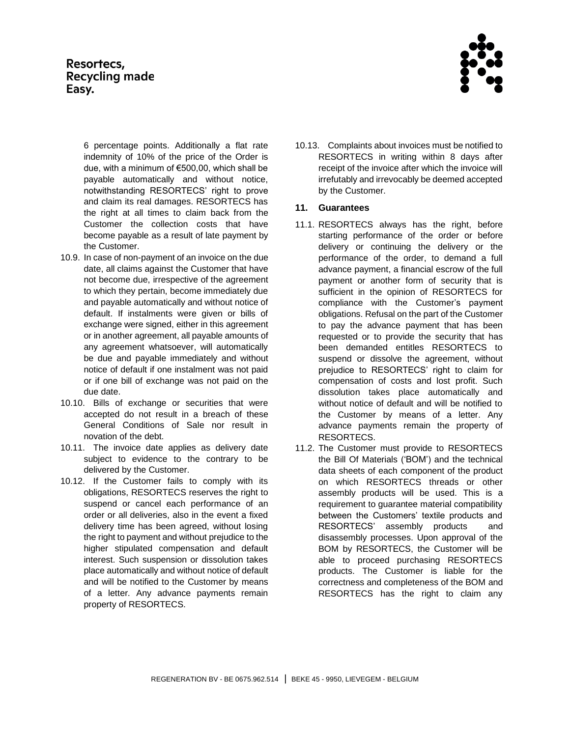

6 percentage points. Additionally a flat rate indemnity of 10% of the price of the Order is due, with a minimum of €500,00, which shall be payable automatically and without notice, notwithstanding RESORTECS' right to prove and claim its real damages. RESORTECS has the right at all times to claim back from the Customer the collection costs that have become payable as a result of late payment by the Customer.

- 10.9. In case of non-payment of an invoice on the due date, all claims against the Customer that have not become due, irrespective of the agreement to which they pertain, become immediately due and payable automatically and without notice of default. If instalments were given or bills of exchange were signed, either in this agreement or in another agreement, all payable amounts of any agreement whatsoever, will automatically be due and payable immediately and without notice of default if one instalment was not paid or if one bill of exchange was not paid on the due date.
- 10.10. Bills of exchange or securities that were accepted do not result in a breach of these General Conditions of Sale nor result in novation of the debt.
- 10.11. The invoice date applies as delivery date subject to evidence to the contrary to be delivered by the Customer.
- 10.12. If the Customer fails to comply with its obligations, RESORTECS reserves the right to suspend or cancel each performance of an order or all deliveries, also in the event a fixed delivery time has been agreed, without losing the right to payment and without prejudice to the higher stipulated compensation and default interest. Such suspension or dissolution takes place automatically and without notice of default and will be notified to the Customer by means of a letter. Any advance payments remain property of RESORTECS.

10.13. Complaints about invoices must be notified to RESORTECS in writing within 8 days after receipt of the invoice after which the invoice will irrefutably and irrevocably be deemed accepted by the Customer.

# **11. Guarantees**

- 11.1. RESORTECS always has the right, before starting performance of the order or before delivery or continuing the delivery or the performance of the order, to demand a full advance payment, a financial escrow of the full payment or another form of security that is sufficient in the opinion of RESORTECS for compliance with the Customer's payment obligations. Refusal on the part of the Customer to pay the advance payment that has been requested or to provide the security that has been demanded entitles RESORTECS to suspend or dissolve the agreement, without prejudice to RESORTECS' right to claim for compensation of costs and lost profit. Such dissolution takes place automatically and without notice of default and will be notified to the Customer by means of a letter. Any advance payments remain the property of RESORTECS.
- 11.2. The Customer must provide to RESORTECS the Bill Of Materials ('BOM') and the technical data sheets of each component of the product on which RESORTECS threads or other assembly products will be used. This is a requirement to guarantee material compatibility between the Customers' textile products and RESORTECS' assembly products and disassembly processes. Upon approval of the BOM by RESORTECS, the Customer will be able to proceed purchasing RESORTECS products. The Customer is liable for the correctness and completeness of the BOM and RESORTECS has the right to claim any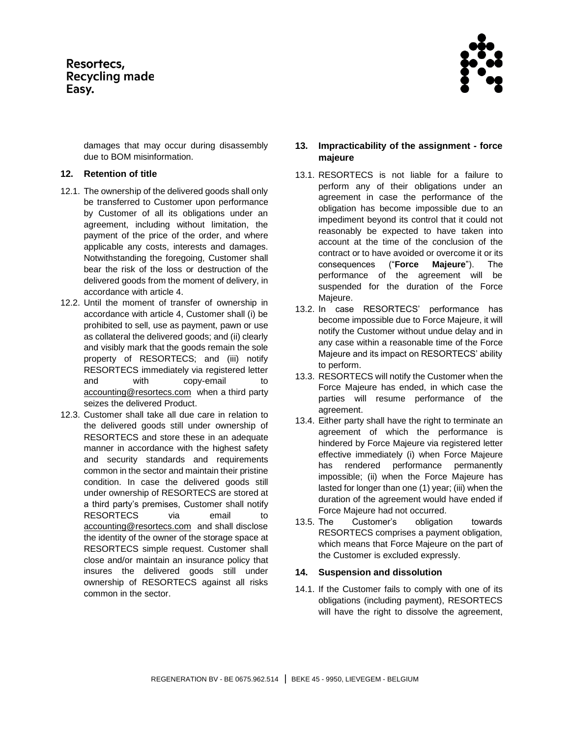> damages that may occur during disassembly due to BOM misinformation.

### **12. Retention of title**

- 12.1. The ownership of the delivered goods shall only be transferred to Customer upon performance by Customer of all its obligations under an agreement, including without limitation, the payment of the price of the order, and where applicable any costs, interests and damages. Notwithstanding the foregoing, Customer shall bear the risk of the loss or destruction of the delivered goods from the moment of delivery, in accordance with article 4.
- 12.2. Until the moment of transfer of ownership in accordance with article 4, Customer shall (i) be prohibited to sell, use as payment, pawn or use as collateral the delivered goods; and (ii) clearly and visibly mark that the goods remain the sole property of RESORTECS; and (iii) notify RESORTECS immediately via registered letter and with copy-email to [accounting@resortecs.com](mailto:accounting@resortecs.com) when a third party seizes the delivered Product.
- 12.3. Customer shall take all due care in relation to the delivered goods still under ownership of RESORTECS and store these in an adequate manner in accordance with the highest safety and security standards and requirements common in the sector and maintain their pristine condition. In case the delivered goods still under ownership of RESORTECS are stored at a third party's premises, Customer shall notify RESORTECS via email to [accounting@resortecs.com](mailto:accounting@resortecs.com) and shall disclose the identity of the owner of the storage space at RESORTECS simple request. Customer shall close and/or maintain an insurance policy that insures the delivered goods still under ownership of RESORTECS against all risks common in the sector.

# <span id="page-5-0"></span>**13. Impracticability of the assignment - force majeure**

- 13.1. RESORTECS is not liable for a failure to perform any of their obligations under an agreement in case the performance of the obligation has become impossible due to an impediment beyond its control that it could not reasonably be expected to have taken into account at the time of the conclusion of the contract or to have avoided or overcome it or its consequences ("**Force Majeure**"). The performance of the agreement will be suspended for the duration of the Force Majeure.
- 13.2. In case RESORTECS' performance has become impossible due to Force Majeure, it will notify the Customer without undue delay and in any case within a reasonable time of the Force Majeure and its impact on RESORTECS' ability to perform.
- 13.3. RESORTECS will notify the Customer when the Force Majeure has ended, in which case the parties will resume performance of the agreement.
- 13.4. Either party shall have the right to terminate an agreement of which the performance is hindered by Force Majeure via registered letter effective immediately (i) when Force Majeure has rendered performance permanently impossible; (ii) when the Force Majeure has lasted for longer than one (1) year; (iii) when the duration of the agreement would have ended if Force Majeure had not occurred.
- 13.5. The Customer's obligation towards RESORTECS comprises a payment obligation, which means that Force Majeure on the part of the Customer is excluded expressly.

## **14. Suspension and dissolution**

14.1. If the Customer fails to comply with one of its obligations (including payment), RESORTECS will have the right to dissolve the agreement,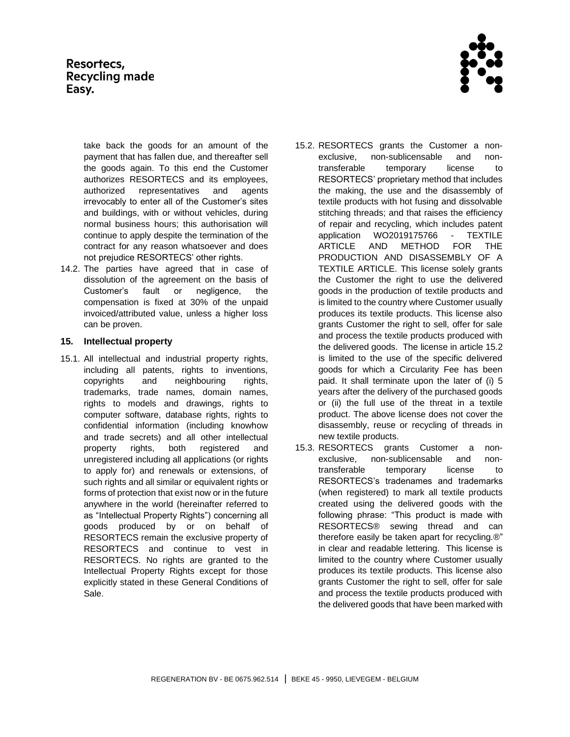

take back the goods for an amount of the payment that has fallen due, and thereafter sell the goods again. To this end the Customer authorizes RESORTECS and its employees, authorized representatives and agents irrevocably to enter all of the Customer's sites and buildings, with or without vehicles, during normal business hours; this authorisation will continue to apply despite the termination of the contract for any reason whatsoever and does not prejudice RESORTECS' other rights.

14.2. The parties have agreed that in case of dissolution of the agreement on the basis of Customer's fault or negligence, the compensation is fixed at 30% of the unpaid invoiced/attributed value, unless a higher loss can be proven.

## **15. Intellectual property**

- 15.1. All intellectual and industrial property rights, including all patents, rights to inventions, copyrights and neighbouring rights, trademarks, trade names, domain names, rights to models and drawings, rights to computer software, database rights, rights to confidential information (including knowhow and trade secrets) and all other intellectual property rights, both registered and unregistered including all applications (or rights to apply for) and renewals or extensions, of such rights and all similar or equivalent rights or forms of protection that exist now or in the future anywhere in the world (hereinafter referred to as "Intellectual Property Rights") concerning all goods produced by or on behalf of RESORTECS remain the exclusive property of RESORTECS and continue to vest in RESORTECS. No rights are granted to the Intellectual Property Rights except for those explicitly stated in these General Conditions of Sale.
- <span id="page-6-1"></span>15.2. RESORTECS grants the Customer a nonexclusive, non-sublicensable and nontransferable temporary license to RESORTECS' proprietary method that includes the making, the use and the disassembly of textile products with hot fusing and dissolvable stitching threads; and that raises the efficiency of repair and recycling, which includes patent application WO2019175766 - TEXTILE ARTICLE AND METHOD FOR THE PRODUCTION AND DISASSEMBLY OF A TEXTILE ARTICLE. This license solely grants the Customer the right to use the delivered goods in the production of textile products and is limited to the country where Customer usually produces its textile products. This license also grants Customer the right to sell, offer for sale and process the textile products produced with the delivered goods. The license in article 15.2 is limited to the use of the specific delivered goods for which a Circularity Fee has been paid. It shall terminate upon the later of (i) 5 years after the delivery of the purchased goods or (ii) the full use of the threat in a textile product. The above license does not cover the disassembly, reuse or recycling of threads in new textile products.
- <span id="page-6-0"></span>15.3. RESORTECS grants Customer a nonexclusive, non-sublicensable and nontransferable temporary license to RESORTECS's tradenames and trademarks (when registered) to mark all textile products created using the delivered goods with the following phrase: "This product is made with RESORTECS® sewing thread and can therefore easily be taken apart for recycling.®" in clear and readable lettering. This license is limited to the country where Customer usually produces its textile products. This license also grants Customer the right to sell, offer for sale and process the textile products produced with the delivered goods that have been marked with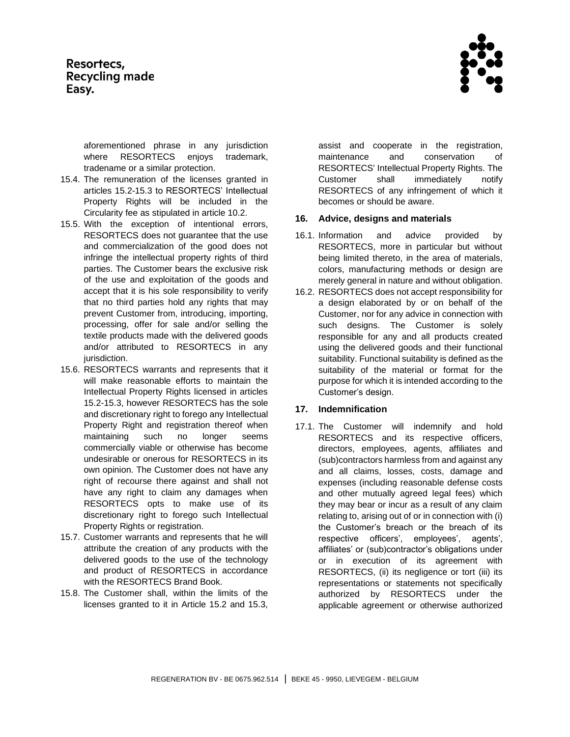aforementioned phrase in any jurisdiction where RESORTECS enjoys trademark, tradename or a similar protection.

- 15.4. The remuneration of the licenses granted in articles [15.2](#page-6-1)[-15.3](#page-6-0) to RESORTECS' Intellectual Property Rights will be included in the Circularity fee as stipulated in article 10.2.
- 15.5. With the exception of intentional errors, RESORTECS does not guarantee that the use and commercialization of the good does not infringe the intellectual property rights of third parties. The Customer bears the exclusive risk of the use and exploitation of the goods and accept that it is his sole responsibility to verify that no third parties hold any rights that may prevent Customer from, introducing, importing, processing, offer for sale and/or selling the textile products made with the delivered goods and/or attributed to RESORTECS in any jurisdiction.
- 15.6. RESORTECS warrants and represents that it will make reasonable efforts to maintain the Intellectual Property Rights licensed in articles [15.2](#page-6-1)[-15.3,](#page-6-0) however RESORTECS has the sole and discretionary right to forego any Intellectual Property Right and registration thereof when maintaining such no longer seems commercially viable or otherwise has become undesirable or onerous for RESORTECS in its own opinion. The Customer does not have any right of recourse there against and shall not have any right to claim any damages when RESORTECS opts to make use of its discretionary right to forego such Intellectual Property Rights or registration.
- 15.7. Customer warrants and represents that he will attribute the creation of any products with the delivered goods to the use of the technology and product of RESORTECS in accordance with the RESORTECS Brand Book.
- 15.8. The Customer shall, within the limits of the licenses granted to it in Article 15.2 and 15.3,

assist and cooperate in the registration, maintenance and conservation of RESORTECS' Intellectual Property Rights. The Customer shall immediately notify RESORTECS of any infringement of which it becomes or should be aware.

## **16. Advice, designs and materials**

- 16.1. Information and advice provided by RESORTECS, more in particular but without being limited thereto, in the area of materials, colors, manufacturing methods or design are merely general in nature and without obligation.
- 16.2. RESORTECS does not accept responsibility for a design elaborated by or on behalf of the Customer, nor for any advice in connection with such designs. The Customer is solely responsible for any and all products created using the delivered goods and their functional suitability. Functional suitability is defined as the suitability of the material or format for the purpose for which it is intended according to the Customer's design.

## **17. Indemnification**

17.1. The Customer will indemnify and hold RESORTECS and its respective officers, directors, employees, agents, affiliates and (sub)contractors harmless from and against any and all claims, losses, costs, damage and expenses (including reasonable defense costs and other mutually agreed legal fees) which they may bear or incur as a result of any claim relating to, arising out of or in connection with (i) the Customer's breach or the breach of its respective officers', employees', agents', affiliates' or (sub)contractor's obligations under or in execution of its agreement with RESORTECS, (ii) its negligence or tort (iii) its representations or statements not specifically authorized by RESORTECS under the applicable agreement or otherwise authorized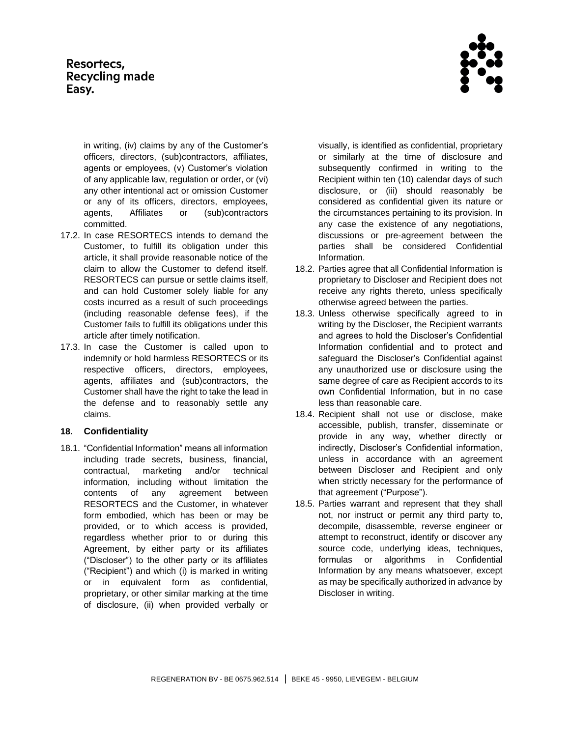in writing, (iv) claims by any of the Customer's officers, directors, (sub)contractors, affiliates, agents or employees, (v) Customer's violation of any applicable law, regulation or order, or (vi) any other intentional act or omission Customer or any of its officers, directors, employees, agents, Affiliates or (sub)contractors committed.

- 17.2. In case RESORTECS intends to demand the Customer, to fulfill its obligation under this article, it shall provide reasonable notice of the claim to allow the Customer to defend itself. RESORTECS can pursue or settle claims itself, and can hold Customer solely liable for any costs incurred as a result of such proceedings (including reasonable defense fees), if the Customer fails to fulfill its obligations under this article after timely notification.
- 17.3. In case the Customer is called upon to indemnify or hold harmless RESORTECS or its respective officers, directors, employees, agents, affiliates and (sub)contractors, the Customer shall have the right to take the lead in the defense and to reasonably settle any claims.

## **18. Confidentiality**

18.1. "Confidential Information" means all information including trade secrets, business, financial, contractual, marketing and/or technical information, including without limitation the contents of any agreement between RESORTECS and the Customer, in whatever form embodied, which has been or may be provided, or to which access is provided, regardless whether prior to or during this Agreement, by either party or its affiliates ("Discloser") to the other party or its affiliates ("Recipient") and which (i) is marked in writing or in equivalent form as confidential, proprietary, or other similar marking at the time of disclosure, (ii) when provided verbally or

visually, is identified as confidential, proprietary or similarly at the time of disclosure and subsequently confirmed in writing to the Recipient within ten (10) calendar days of such disclosure, or (iii) should reasonably be considered as confidential given its nature or the circumstances pertaining to its provision. In any case the existence of any negotiations, discussions or pre-agreement between the parties shall be considered Confidential Information.

- 18.2. Parties agree that all Confidential Information is proprietary to Discloser and Recipient does not receive any rights thereto, unless specifically otherwise agreed between the parties.
- 18.3. Unless otherwise specifically agreed to in writing by the Discloser, the Recipient warrants and agrees to hold the Discloser's Confidential Information confidential and to protect and safeguard the Discloser's Confidential against any unauthorized use or disclosure using the same degree of care as Recipient accords to its own Confidential Information, but in no case less than reasonable care.
- 18.4. Recipient shall not use or disclose, make accessible, publish, transfer, disseminate or provide in any way, whether directly or indirectly, Discloser's Confidential information, unless in accordance with an agreement between Discloser and Recipient and only when strictly necessary for the performance of that agreement ("Purpose").
- 18.5. Parties warrant and represent that they shall not, nor instruct or permit any third party to, decompile, disassemble, reverse engineer or attempt to reconstruct, identify or discover any source code, underlying ideas, techniques, formulas or algorithms in Confidential Information by any means whatsoever, except as may be specifically authorized in advance by Discloser in writing.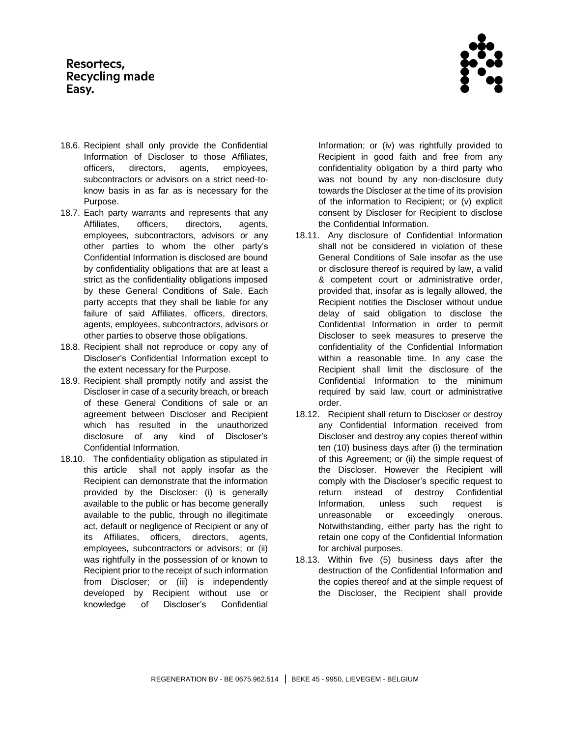

- 18.6. Recipient shall only provide the Confidential Information of Discloser to those Affiliates, officers, directors, agents, employees, subcontractors or advisors on a strict need-toknow basis in as far as is necessary for the Purpose.
- 18.7. Each party warrants and represents that any Affiliates, officers, directors, agents, employees, subcontractors, advisors or any other parties to whom the other party's Confidential Information is disclosed are bound by confidentiality obligations that are at least a strict as the confidentiality obligations imposed by these General Conditions of Sale. Each party accepts that they shall be liable for any failure of said Affiliates, officers, directors, agents, employees, subcontractors, advisors or other parties to observe those obligations.
- 18.8. Recipient shall not reproduce or copy any of Discloser's Confidential Information except to the extent necessary for the Purpose.
- 18.9. Recipient shall promptly notify and assist the Discloser in case of a security breach, or breach of these General Conditions of sale or an agreement between Discloser and Recipient which has resulted in the unauthorized disclosure of any kind of Discloser's Confidential Information.
- <span id="page-9-0"></span>18.10. The confidentiality obligation as stipulated in this article shall not apply insofar as the Recipient can demonstrate that the information provided by the Discloser: (i) is generally available to the public or has become generally available to the public, through no illegitimate act, default or negligence of Recipient or any of its Affiliates, officers, directors, agents, employees, subcontractors or advisors; or (ii) was rightfully in the possession of or known to Recipient prior to the receipt of such information from Discloser; or (iii) is independently developed by Recipient without use or knowledge of Discloser's Confidential

Information; or (iv) was rightfully provided to Recipient in good faith and free from any confidentiality obligation by a third party who was not bound by any non-disclosure duty towards the Discloser at the time of its provision of the information to Recipient; or (v) explicit consent by Discloser for Recipient to disclose the Confidential Information.

- <span id="page-9-1"></span>18.11. Any disclosure of Confidential Information shall not be considered in violation of these General Conditions of Sale insofar as the use or disclosure thereof is required by law, a valid & competent court or administrative order, provided that, insofar as is legally allowed, the Recipient notifies the Discloser without undue delay of said obligation to disclose the Confidential Information in order to permit Discloser to seek measures to preserve the confidentiality of the Confidential Information within a reasonable time. In any case the Recipient shall limit the disclosure of the Confidential Information to the minimum required by said law, court or administrative order.
- 18.12. Recipient shall return to Discloser or destroy any Confidential Information received from Discloser and destroy any copies thereof within ten (10) business days after (i) the termination of this Agreement; or (ii) the simple request of the Discloser. However the Recipient will comply with the Discloser's specific request to return instead of destroy Confidential Information, unless such request is unreasonable or exceedingly onerous. Notwithstanding, either party has the right to retain one copy of the Confidential Information for archival purposes.
- 18.13. Within five (5) business days after the destruction of the Confidential Information and the copies thereof and at the simple request of the Discloser, the Recipient shall provide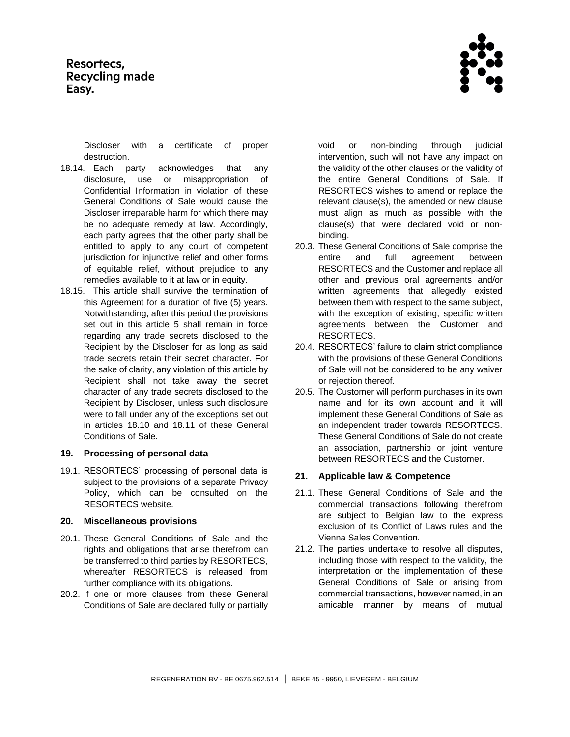

Discloser with a certificate of proper destruction.

- 18.14. Each party acknowledges that any disclosure, use or misappropriation of Confidential Information in violation of these General Conditions of Sale would cause the Discloser irreparable harm for which there may be no adequate remedy at law. Accordingly, each party agrees that the other party shall be entitled to apply to any court of competent jurisdiction for injunctive relief and other forms of equitable relief, without prejudice to any remedies available to it at law or in equity.
- 18.15. This article shall survive the termination of this Agreement for a duration of five (5) years. Notwithstanding, after this period the provisions set out in this article 5 shall remain in force regarding any trade secrets disclosed to the Recipient by the Discloser for as long as said trade secrets retain their secret character. For the sake of clarity, any violation of this article by Recipient shall not take away the secret character of any trade secrets disclosed to the Recipient by Discloser, unless such disclosure were to fall under any of the exceptions set out in articles [18.10](#page-9-0) and [18.11](#page-9-1) of these General Conditions of Sale.

### **19. Processing of personal data**

19.1. RESORTECS' processing of personal data is subject to the provisions of a separate Privacy Policy, which can be consulted on the RESORTECS website.

### **20. Miscellaneous provisions**

- 20.1. These General Conditions of Sale and the rights and obligations that arise therefrom can be transferred to third parties by RESORTECS, whereafter RESORTECS is released from further compliance with its obligations.
- 20.2. If one or more clauses from these General Conditions of Sale are declared fully or partially

void or non-binding through judicial intervention, such will not have any impact on the validity of the other clauses or the validity of the entire General Conditions of Sale. If RESORTECS wishes to amend or replace the relevant clause(s), the amended or new clause must align as much as possible with the clause(s) that were declared void or nonbinding.

- 20.3. These General Conditions of Sale comprise the entire and full agreement between RESORTECS and the Customer and replace all other and previous oral agreements and/or written agreements that allegedly existed between them with respect to the same subject, with the exception of existing, specific written agreements between the Customer and RESORTECS.
- 20.4. RESORTECS' failure to claim strict compliance with the provisions of these General Conditions of Sale will not be considered to be any waiver or rejection thereof.
- 20.5. The Customer will perform purchases in its own name and for its own account and it will implement these General Conditions of Sale as an independent trader towards RESORTECS. These General Conditions of Sale do not create an association, partnership or joint venture between RESORTECS and the Customer.

### **21. Applicable law & Competence**

- 21.1. These General Conditions of Sale and the commercial transactions following therefrom are subject to Belgian law to the express exclusion of its Conflict of Laws rules and the Vienna Sales Convention.
- 21.2. The parties undertake to resolve all disputes, including those with respect to the validity, the interpretation or the implementation of these General Conditions of Sale or arising from commercial transactions, however named, in an amicable manner by means of mutual